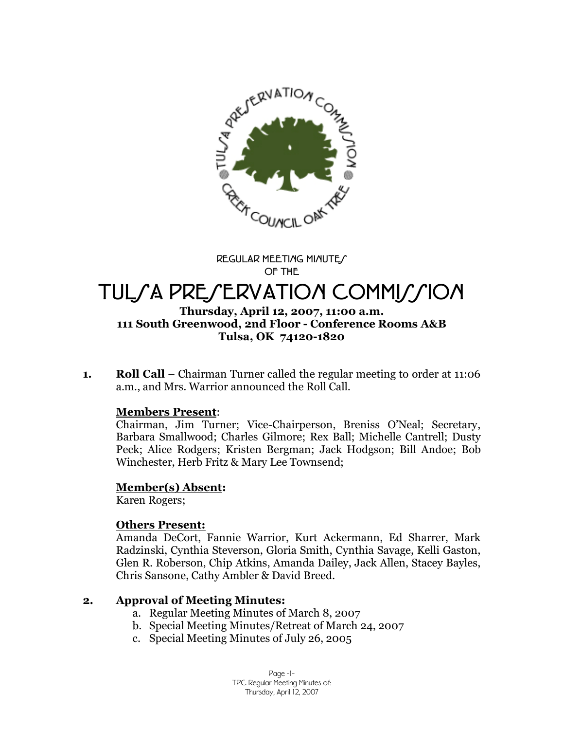

**REGULAR MEETING MINUTES OF THE**

# TUL/A PRE/ERVATION COMMI*MI*ON

#### **Thursday, April 12, 2007, 11:00 a.m. 111 South Greenwood, 2nd Floor - Conference Rooms A&B Tulsa, OK 74120-1820**

**1. Roll Call** –Chairman Turner called the regular meeting to order at 11:06 a.m., and Mrs. Warrior announced the Roll Call.

#### **Members Present**:

Chairman, Jim Turner; Vice-Chairperson, Breniss O'Neal; Secretary, Barbara Smallwood; Charles Gilmore; Rex Ball; Michelle Cantrell; Dusty Peck; Alice Rodgers; Kristen Bergman; Jack Hodgson; Bill Andoe; Bob Winchester, Herb Fritz & Mary Lee Townsend;

#### **Member(s) Absent:**

Karen Rogers;

#### **Others Present:**

Amanda DeCort, Fannie Warrior, Kurt Ackermann, Ed Sharrer, Mark Radzinski, Cynthia Steverson, Gloria Smith, Cynthia Savage, Kelli Gaston, Glen R. Roberson, Chip Atkins, Amanda Dailey, Jack Allen, Stacey Bayles, Chris Sansone, Cathy Ambler & David Breed.

## **2. Approval of Meeting Minutes:**

- a. Regular Meeting Minutes of March 8, 2007
- b. Special Meeting Minutes/Retreat of March 24, 2007
- c. Special Meeting Minutes of July 26, 2005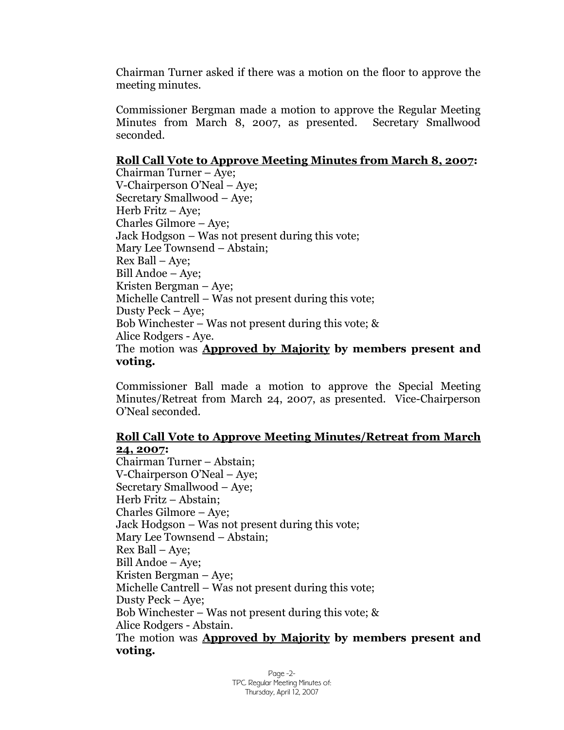Chairman Turner asked if there was a motion on the floor to approve the meeting minutes.

Commissioner Bergman made a motion to approve the Regular Meeting Minutes from March 8, 2007, as presented. Secretary Smallwood seconded.

## **Roll Call Vote to Approve Meeting Minutes from March 8, 2007:**

Chairman Turner – Aye; V-Chairperson O'Neal – Aye; Secretary Smallwood – Aye; Herb Fritz – Aye; Charles Gilmore – Aye; Jack Hodgson –Was not present during this vote; Mary Lee Townsend –Abstain; Rex Ball – Aye; Bill Andoe – Aye; Kristen Bergman – Aye; Michelle Cantrell – Was not present during this vote; Dusty Peck – Aye; Bob Winchester – Was not present during this vote; & Alice Rodgers - Aye. The motion was **Approved by Majority by members present and voting.**

Commissioner Ball made a motion to approve the Special Meeting Minutes/Retreat from March 24, 2007, as presented. Vice-Chairperson O'Neal seconded.

#### **Roll Call Vote to Approve Meeting Minutes/Retreat from March 24, 2007:**

Chairman Turner – Abstain; V-Chairperson O'Neal – Aye; Secretary Smallwood – Aye; Herb Fritz – Abstain; Charles Gilmore – Aye; Jack Hodgson – Was not present during this vote; Mary Lee Townsend – Abstain; Rex Ball – Aye; Bill Andoe – Aye; Kristen Bergman – Aye; Michelle Cantrell – Was not present during this vote; Dusty Peck – Aye; Bob Winchester – Was not present during this vote;  $\&$ Alice Rodgers - Abstain. The motion was **Approved by Majority by members present and voting.**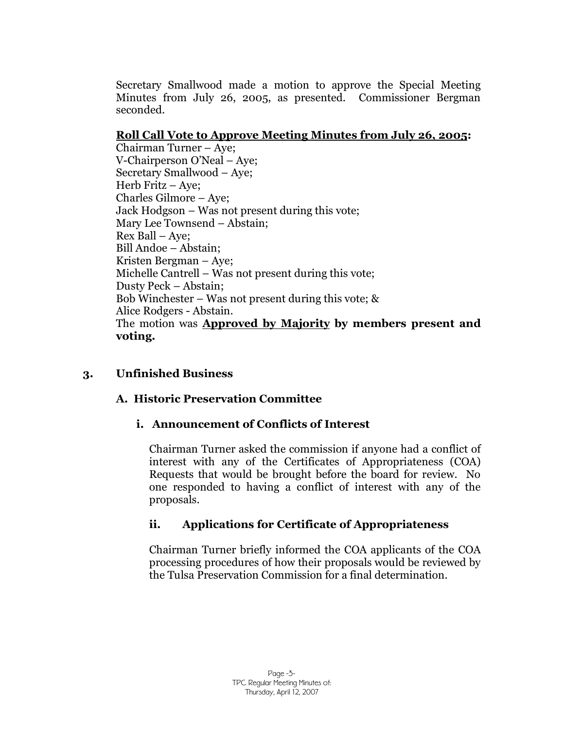Secretary Smallwood made a motion to approve the Special Meeting Minutes from July 26, 2005, as presented. Commissioner Bergman seconded.

## **Roll Call Vote to Approve Meeting Minutes from July 26, 2005:**

Chairman Turner – Aye; V-Chairperson O'Neal – Aye; Secretary Smallwood – Aye; Herb Fritz –Aye; Charles Gilmore – Aye; Jack Hodgson – Was not present during this vote; Mary Lee Townsend – Abstain; Rex Ball – Aye; Bill Andoe – Abstain; Kristen Bergman – Aye; Michelle Cantrell – Was not present during this vote; Dusty Peck – Abstain; Bob Winchester – Was not present during this vote; & Alice Rodgers - Abstain. The motion was **Approved by Majority by members present and voting.**

## **3. Unfinished Business**

## **A. Historic Preservation Committee**

## **i. Announcement of Conflicts of Interest**

Chairman Turner asked the commission if anyone had a conflict of interest with any of the Certificates of Appropriateness (COA) Requests that would be brought before the board for review. No one responded to having a conflict of interest with any of the proposals.

## **ii. Applications for Certificate of Appropriateness**

Chairman Turner briefly informed the COA applicants of the COA processing procedures of how their proposals would be reviewed by the Tulsa Preservation Commission for a final determination.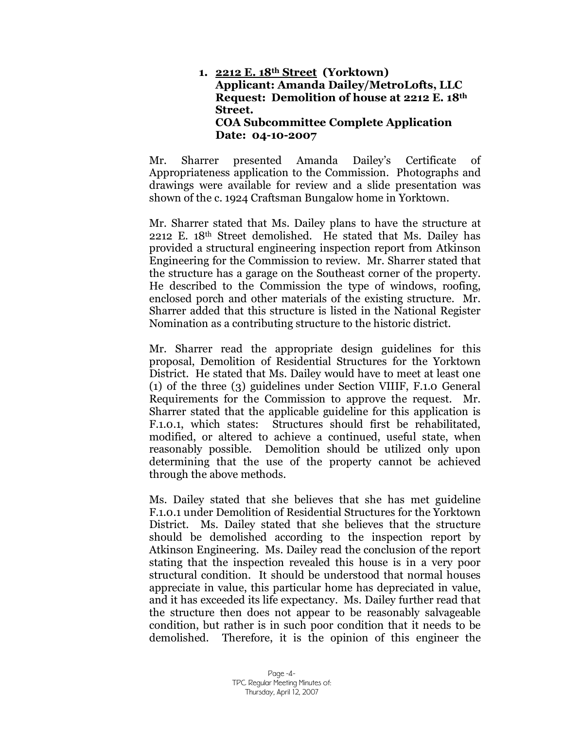#### **1. 2212 E. 18th Street (Yorktown) Applicant: Amanda Dailey/MetroLofts, LLC Request: Demolition of house at 2212 E. 18th Street. COA Subcommittee Complete Application Date: 04-10-2007**

Mr. Sharrer presented Amanda Dailey's Certificate of Appropriateness application to the Commission. Photographs and drawings were available for review and a slide presentation was shown of the c. 1924 Craftsman Bungalow home in Yorktown.

Mr. Sharrer stated that Ms. Dailey plans to have the structure at 2212 E. 18th Street demolished. He stated that Ms. Dailey has provided a structural engineering inspection report from Atkinson Engineering for the Commission to review. Mr. Sharrer stated that the structure has a garage on the Southeast corner of the property. He described to the Commission the type of windows, roofing, enclosed porch and other materials of the existing structure. Mr. Sharrer added that this structure is listed in the National Register Nomination as a contributing structure to the historic district.

Mr. Sharrer read the appropriate design guidelines for this proposal, Demolition of Residential Structures for the Yorktown District. He stated that Ms. Dailey would have to meet at least one (1) of the three (3) guidelines under Section VIIIF, F.1.0 General Requirements for the Commission to approve the request. Mr. Sharrer stated that the applicable guideline for this application is F.1.0.1, which states: Structures should first be rehabilitated, modified, or altered to achieve a continued, useful state, when reasonably possible. Demolition should be utilized only upon determining that the use of the property cannot be achieved through the above methods.

Ms. Dailey stated that she believes that she has met guideline F.1.0.1 under Demolition of Residential Structures for the Yorktown District. Ms. Dailey stated that she believes that the structure should be demolished according to the inspection report by Atkinson Engineering. Ms. Dailey read the conclusion of the report stating that the inspection revealed this house is in a very poor structural condition. It should be understood that normal houses appreciate in value, this particular home has depreciated in value, and it has exceeded its life expectancy. Ms. Dailey further read that the structure then does not appear to be reasonably salvageable condition, but rather is in such poor condition that it needs to be demolished. Therefore, it is the opinion of this engineer the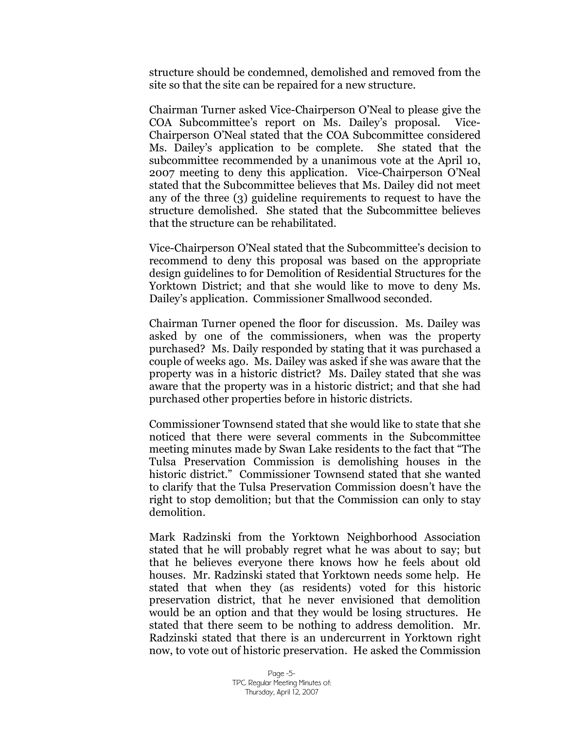structure should be condemned, demolished and removed from the site so that the site can be repaired for a new structure.

Chairman Turner asked Vice-Chairperson O'Neal to please give the COA Subcommittee's report on Ms. Dailey's proposal. Vice-Chairperson O'Neal stated that the COA Subcommittee considered Ms. Dailey's application to be complete. She stated that the subcommittee recommended by a unanimous vote at the April 10, 2007 meeting to deny this application. Vice-Chairperson O'Neal stated that the Subcommittee believes that Ms. Dailey did not meet any of the three (3) guideline requirements to request to have the structure demolished. She stated that the Subcommittee believes that the structure can be rehabilitated.

Vice-Chairperson O'Neal stated that the Subcommittee's decision to recommend to deny this proposal was based on the appropriate design guidelines to for Demolition of Residential Structures for the Yorktown District; and that she would like to move to deny Ms. Dailey's application. Commissioner Smallwood seconded.

Chairman Turner opened the floor for discussion. Ms. Dailey was asked by one of the commissioners, when was the property purchased? Ms. Daily responded by stating that it was purchased a couple of weeks ago. Ms. Dailey was asked if she was aware that the property was in a historic district? Ms. Dailey stated that she was aware that the property was in a historic district; and that she had purchased other properties before in historic districts.

Commissioner Townsend stated that she would like to state that she noticed that there were several comments in the Subcommittee meeting minutes made by Swan Lake residents to the fact that "The Tulsa Preservation Commission is demolishing houses in the historic district." Commissioner Townsend stated that she wanted to clarify that the Tulsa Preservation Commission doesn't have the right to stop demolition; but that the Commission can only to stay demolition.

Mark Radzinski from the Yorktown Neighborhood Association stated that he will probably regret what he was about to say; but that he believes everyone there knows how he feels about old houses. Mr. Radzinski stated that Yorktown needs some help. He stated that when they (as residents) voted for this historic preservation district, that he never envisioned that demolition would be an option and that they would be losing structures. He stated that there seem to be nothing to address demolition. Mr. Radzinski stated that there is an undercurrent in Yorktown right now, to vote out of historic preservation. He asked the Commission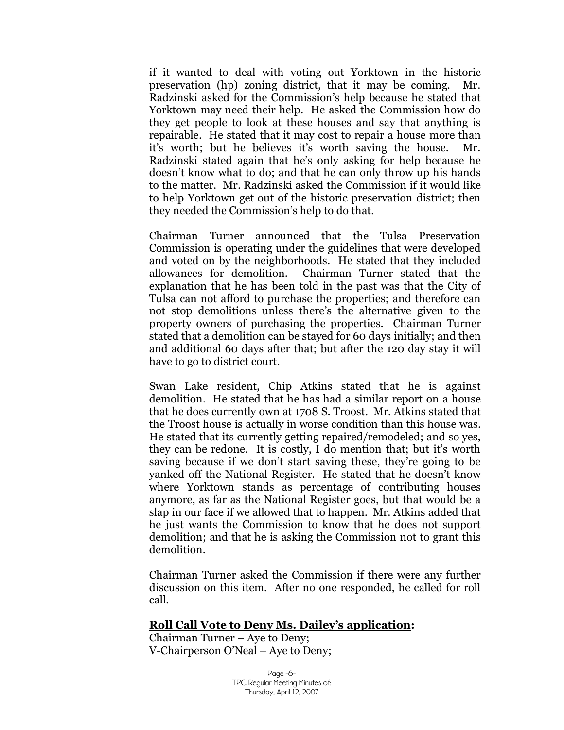if it wanted to deal with voting out Yorktown in the historic preservation (hp) zoning district, that it may be coming. Mr. Radzinski asked for the Commission's help because he stated that Yorktown may need their help. He asked the Commission how do they get people to look at these houses and say that anything is repairable. He stated that it may cost to repair a house more than it's worth; but he believes it's worth saving the house. Mr. Radzinski stated again that he's only asking for help because he doesn't know what to do; and that he can only throw up his hands to the matter. Mr. Radzinski asked the Commission if it would like to help Yorktown get out of the historic preservation district; then they needed the Commission's help to do that.

Chairman Turner announced that the Tulsa Preservation Commission is operating under the guidelines that were developed and voted on by the neighborhoods. He stated that they included allowances for demolition. Chairman Turner stated that the explanation that he has been told in the past was that the City of Tulsa can not afford to purchase the properties; and therefore can not stop demolitions unless there's the alternative given to the property owners of purchasing the properties. Chairman Turner stated that a demolition can be stayed for 60 days initially; and then and additional 60 days after that; but after the 120 day stay it will have to go to district court.

Swan Lake resident, Chip Atkins stated that he is against demolition. He stated that he has had a similar report on a house that he does currently own at 1708 S. Troost. Mr. Atkins stated that the Troost house is actually in worse condition than this house was. He stated that its currently getting repaired/remodeled; and so yes, they can be redone. It is costly, I do mention that; but it's worth saving because if we don't start saving these, they're going to be yanked off the National Register. He stated that he doesn't know where Yorktown stands as percentage of contributing houses anymore, as far as the National Register goes, but that would be a slap in our face if we allowed that to happen. Mr. Atkins added that he just wants the Commission to know that he does not support demolition; and that he is asking the Commission not to grant this demolition.

Chairman Turner asked the Commission if there were any further discussion on this item. After no one responded, he called for roll call.

#### **Roll Call Vote to Deny Ms. Dailey's application:**

Chairman Turner – Aye to Deny; V-Chairperson O'Neal – Aye to Deny;

> Page -6- TPC Regular Meeting Minutes of: Thursday, April 12, 2007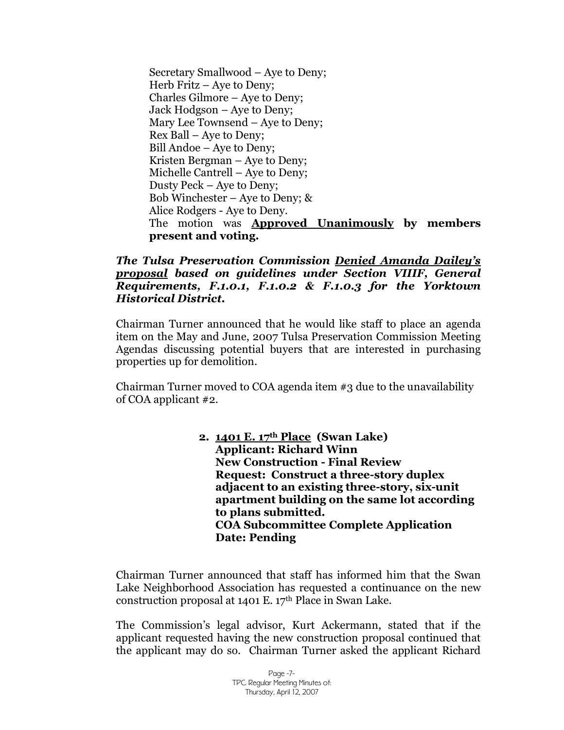Secretary Smallwood – Aye to Deny; Herb Fritz – Aye to Deny; Charles Gilmore – Aye to Deny; Jack Hodgson – Aye to Deny; Mary Lee Townsend – Aye to Deny; Rex Ball – Aye to Deny; Bill Andoe – Aye to Deny; Kristen Bergman – Aye to Deny; Michelle Cantrell – Aye to Deny; Dusty Peck – Aye to Deny; Bob Winchester – Aye to Deny; & Alice Rodgers - Aye to Deny. The motion was **Approved Unanimously by members present and voting.**

#### *The Tulsa Preservation Commission Denied Amanda Dailey's proposal based on guidelines under Section VIIIF, General Requirements, F.1.0.1, F.1.0.2 & F.1.0.3 for the Yorktown Historical District.*

Chairman Turner announced that he would like staff to place an agenda item on the May and June, 2007 Tulsa Preservation Commission Meeting Agendas discussing potential buyers that are interested in purchasing properties up for demolition.

Chairman Turner moved to COA agenda item  $\#3$  due to the unavailability of COA applicant #2.

> **2. 1401 E. 17th Place (Swan Lake) Applicant: Richard Winn New Construction - Final Review Request: Construct a three-story duplex adjacent to an existing three-story, six-unit apartment building on the same lot according to plans submitted. COA Subcommittee Complete Application Date: Pending**

Chairman Turner announced that staff has informed him that the Swan Lake Neighborhood Association has requested a continuance on the new construction proposal at 1401 E. 17th Place in Swan Lake.

The Commission's legal advisor, Kurt Ackermann, stated that if the applicant requested having the new construction proposal continued that the applicant may do so. Chairman Turner asked the applicant Richard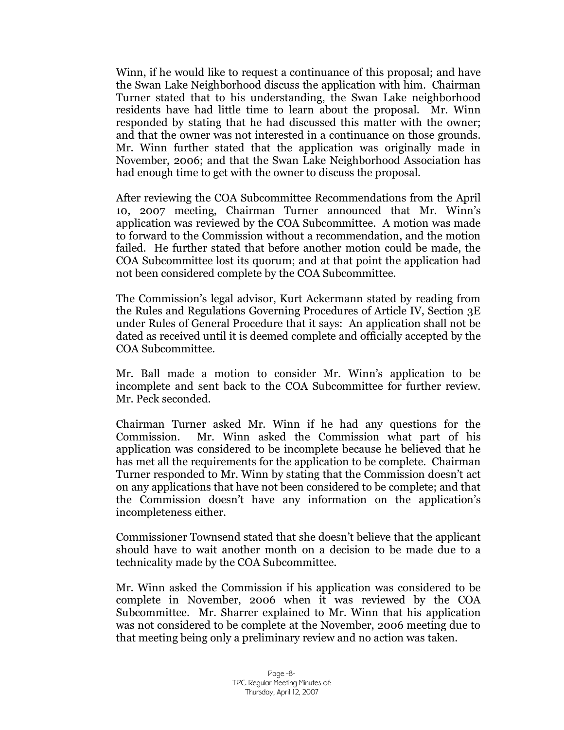Winn, if he would like to request a continuance of this proposal; and have the Swan Lake Neighborhood discuss the application with him. Chairman Turner stated that to his understanding, the Swan Lake neighborhood residents have had little time to learn about the proposal. Mr. Winn responded by stating that he had discussed this matter with the owner; and that the owner was not interested in a continuance on those grounds. Mr. Winn further stated that the application was originally made in November, 2006; and that the Swan Lake Neighborhood Association has had enough time to get with the owner to discuss the proposal.

After reviewing the COA Subcommittee Recommendations from the April 10, 2007 meeting, Chairman Turner announced that Mr. Winn's application was reviewed by the COA Subcommittee. A motion was made to forward to the Commission without a recommendation, and the motion failed. He further stated that before another motion could be made, the COA Subcommittee lost its quorum; and at that point the application had not been considered complete by the COA Subcommittee.

The Commission's legal advisor, Kurt Ackermann stated by reading from the Rules and Regulations Governing Procedures of Article IV, Section 3E under Rules of General Procedure that it says: An application shall not be dated as received until it is deemed complete and officially accepted by the COA Subcommittee.

Mr. Ball made a motion to consider Mr. Winn's application to be incomplete and sent back to the COA Subcommittee for further review. Mr. Peck seconded.

Chairman Turner asked Mr. Winn if he had any questions for the Commission. Mr. Winn asked the Commission what part of his application was considered to be incomplete because he believed that he has met all the requirements for the application to be complete. Chairman Turner responded to Mr. Winn by stating that the Commission doesn't act on any applications that have not been considered to be complete; and that the Commission doesn't have any information on the application's incompleteness either.

Commissioner Townsend stated that she doesn't believe that the applicant should have to wait another month on a decision to be made due to a technicality made by the COA Subcommittee.

Mr. Winn asked the Commission if his application was considered to be complete in November, 2006 when it was reviewed by the COA Subcommittee. Mr. Sharrer explained to Mr. Winn that his application was not considered to be complete at the November, 2006 meeting due to that meeting being only a preliminary review and no action was taken.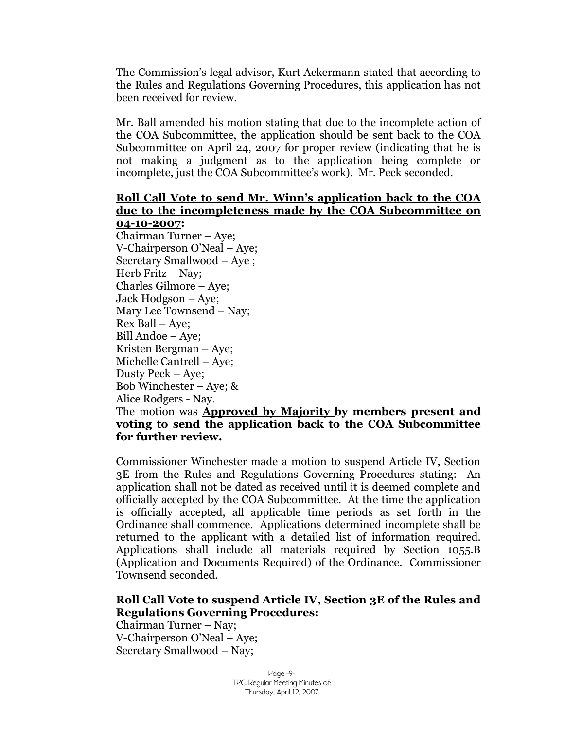The Commission's legal advisor, Kurt Ackermann stated that according to the Rules and Regulations Governing Procedures, this application has not been received for review.

Mr. Ball amended his motion stating that due to the incomplete action of the COA Subcommittee, the application should be sent back to the COA Subcommittee on April 24, 2007 for proper review (indicating that he is not making a judgment as to the application being complete or incomplete, just the COA Subcommittee's work). Mr. Peck seconded.

#### **Roll Call Vote to send Mr. Winn's application back to the COA due to the incompleteness made by the COA Subcommittee on 04-10-2007:**

Chairman Turner – Aye; V-Chairperson O'Neal – Aye; Secretary Smallwood – Aye ; Herb Fritz - Nay; Charles Gilmore – Aye; Jack Hodgson – Aye; Mary Lee Townsend - Nay; Rex Ball – Aye; Bill Andoe – Aye; Kristen Bergman – Aye; Michelle Cantrell – Aye; Dusty Peck – Aye; Bob Winchester – Aye; & Alice Rodgers - Nay. The motion was **Approved by Majority by members present and** 

## **voting to send the application back to the COA Subcommittee for further review.**

Commissioner Winchester made a motion to suspend Article IV, Section 3E from the Rules and Regulations Governing Procedures stating: An application shall not be dated as received until it is deemed complete and officially accepted by the COA Subcommittee. At the time the application is officially accepted, all applicable time periods as set forth in the Ordinance shall commence. Applications determined incomplete shall be returned to the applicant with a detailed list of information required. Applications shall include all materials required by Section 1055.B (Application and Documents Required) of the Ordinance. Commissioner Townsend seconded.

#### **Roll Call Vote to suspend Article IV, Section 3E of the Rules and Regulations Governing Procedures:**

Chairman Turner – Nay; V-Chairperson O'Neal – Aye; Secretary Smallwood – Nay;

> Page -9- TPC Regular Meeting Minutes of: Thursday, April 12, 2007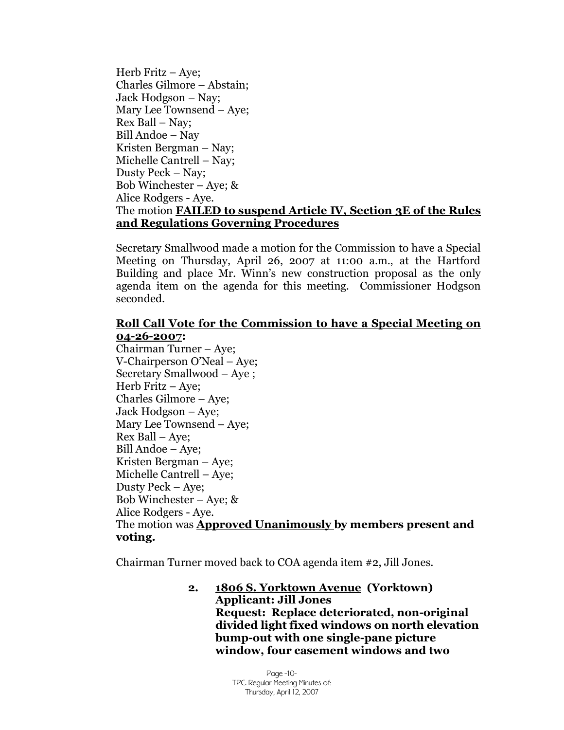Herb Fritz – Aye; Charles Gilmore – Abstain; Jack Hodgson – Nay; Mary Lee Townsend – Aye; Rex Ball – Nay; Bill Andoe – Nay Kristen Bergman – Nay; Michelle Cantrell – Nay; Dusty Peck – Nay; Bob Winchester – Aye;  $\&$ Alice Rodgers - Aye. The motion **FAILED to suspend Article IV, Section 3E of the Rules and Regulations Governing Procedures**

Secretary Smallwood made a motion for the Commission to have a Special Meeting on Thursday, April 26, 2007 at 11:00 a.m., at the Hartford Building and place Mr. Winn's new construction proposal as the only agenda item on the agenda for this meeting. Commissioner Hodgson seconded.

#### **Roll Call Vote for the Commission to have a Special Meeting on 04-26-2007:**

Chairman Turner – Aye; V-Chairperson O'Neal – Aye; Secretary Smallwood – Aye ; Herb Fritz – Aye; Charles Gilmore – Aye; Jack Hodgson – Aye; Mary Lee Townsend – Aye; Rex Ball – Aye; Bill Andoe – Aye; Kristen Bergman – Aye; Michelle Cantrell – Aye; Dusty Peck – Aye; Bob Winchester – Aye; & Alice Rodgers - Aye. The motion was **Approved Unanimously by members present and voting.**

Chairman Turner moved back to COA agenda item #2, Jill Jones.

**2. 1806 S. Yorktown Avenue (Yorktown) Applicant: Jill Jones Request: Replace deteriorated, non-original divided light fixed windows on north elevation bump-out with one single-pane picture window, four casement windows and two**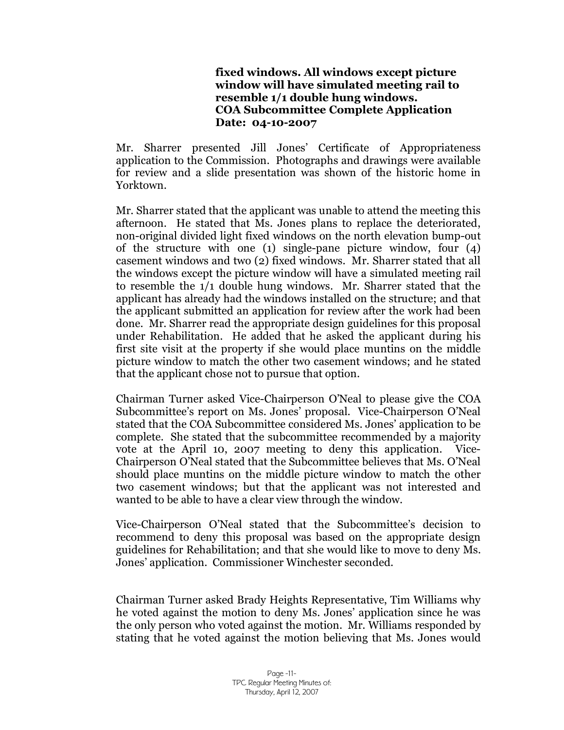#### **fixed windows. All windows except picture window will have simulated meeting rail to resemble 1/1 double hung windows. COA Subcommittee Complete Application Date: 04-10-2007**

Mr. Sharrer presented Jill Jones' Certificate of Appropriateness application to the Commission. Photographs and drawings were available for review and a slide presentation was shown of the historic home in Yorktown.

Mr. Sharrer stated that the applicant was unable to attend the meeting this afternoon. He stated that Ms. Jones plans to replace the deteriorated, non-original divided light fixed windows on the north elevation bump-out of the structure with one (1) single-pane picture window, four (4) casement windows and two (2) fixed windows. Mr. Sharrer stated that all the windows except the picture window will have a simulated meeting rail to resemble the 1/1 double hung windows. Mr. Sharrer stated that the applicant has already had the windows installed on the structure; and that the applicant submitted an application for review after the work had been done. Mr. Sharrer read the appropriate design guidelines for this proposal under Rehabilitation. He added that he asked the applicant during his first site visit at the property if she would place muntins on the middle picture window to match the other two casement windows; and he stated that the applicant chose not to pursue that option.

Chairman Turner asked Vice-Chairperson O'Neal to please give the COA Subcommittee's report on Ms. Jones'proposal. Vice-Chairperson O'Neal stated that the COA Subcommittee considered Ms. Jones' application to be complete. She stated that the subcommittee recommended by a majority vote at the April 10, 2007 meeting to deny this application. Vice-Chairperson O'Neal stated that the Subcommittee believes that Ms. O'Neal should place muntins on the middle picture window to match the other two casement windows; but that the applicant was not interested and wanted to be able to have a clear view through the window.

Vice-Chairperson O'Neal stated that the Subcommittee's decision to recommend to deny this proposal was based on the appropriate design guidelines for Rehabilitation; and that she would like to move to deny Ms. Jones' application. Commissioner Winchester seconded.

Chairman Turner asked Brady Heights Representative, Tim Williams why he voted against the motion to deny Ms. Jones' application since he was the only person who voted against the motion. Mr. Williams responded by stating that he voted against the motion believing that Ms. Jones would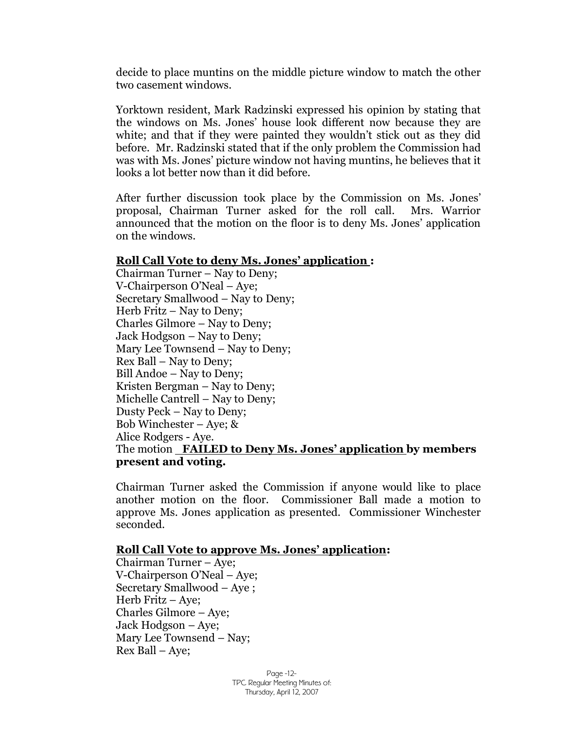decide to place muntins on the middle picture window to match the other two casement windows.

Yorktown resident, Mark Radzinski expressed his opinion by stating that the windows on Ms. Jones' house look different now because they are white; and that if they were painted they wouldn't stick out as they did before. Mr. Radzinski stated that if the only problem the Commission had was with Ms. Jones' picture window not having muntins, he believes that it looks a lot better now than it did before.

After further discussion took place by the Commission on Ms. Jones' proposal, Chairman Turner asked for the roll call. Mrs. Warrior announced that the motion on the floor is to deny Ms. Jones' application on the windows.

#### **Roll Call Vote to deny Ms. Jones' application :**

Chairman Turner – Nay to Deny; V-Chairperson O'Neal – Aye; Secretary Smallwood – Nay to Deny; Herb Fritz  $-$  Nay to Deny; Charles Gilmore – Nay to Deny; Jack Hodgson – Nay to Deny; Mary Lee Townsend – Nay to Deny; Rex Ball – Nay to Deny; Bill Andoe – Nay to Deny; Kristen Bergman – Nay to Deny; Michelle Cantrell – Nay to Deny; Dusty Peck – Nay to Deny; Bob Winchester – Aye;  $\&$ Alice Rodgers - Aye. The motion **FAILED to Deny Ms. Jones'application by members present and voting.**

Chairman Turner asked the Commission if anyone would like to place another motion on the floor. Commissioner Ball made a motion to approve Ms. Jones application as presented. Commissioner Winchester seconded.

#### **Roll Call Vote to approve Ms. Jones' application:**

Chairman Turner – Aye; V-Chairperson O'Neal – Aye; Secretary Smallwood –Aye ; Herb Fritz – Aye; Charles Gilmore – Aye; Jack Hodgson – Aye; Mary Lee Townsend – Nay; Rex Ball – Aye;

> Page -12- TPC Regular Meeting Minutes of: Thursday, April 12, 2007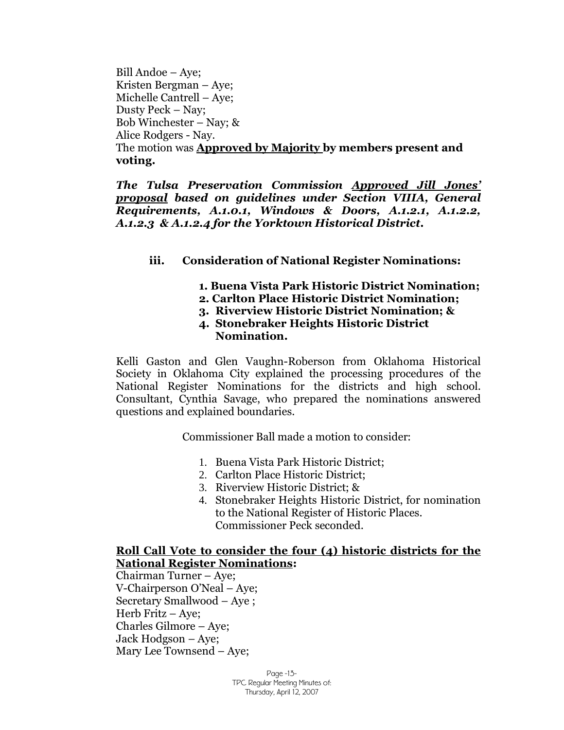Bill Andoe – Aye; Kristen Bergman – Aye; Michelle Cantrell – Aye; Dusty Peck – Nay; Bob Winchester – Nay; & Alice Rodgers - Nay. The motion was **Approved by Majority by members present and voting.**

*The Tulsa Preservation Commission Approved Jill Jones' proposal based on guidelines under Section VIIIA, General Requirements, A.1.0.1, Windows & Doors, A.1.2.1, A.1.2.2, A.1.2.3 & A.1.2.4 for the Yorktown Historical District.*

## **iii. Consideration of National Register Nominations:**

- **1. Buena Vista Park Historic District Nomination;**
- **2. Carlton Place Historic District Nomination;**
- **3. Riverview Historic District Nomination; &**
- **4. Stonebraker Heights Historic District Nomination.**

Kelli Gaston and Glen Vaughn-Roberson from Oklahoma Historical Society in Oklahoma City explained the processing procedures of the National Register Nominations for the districts and high school. Consultant, Cynthia Savage, who prepared the nominations answered questions and explained boundaries.

Commissioner Ball made a motion to consider:

- 1. Buena Vista Park Historic District;
- 2. Carlton Place Historic District;
- 3. Riverview Historic District; &
- 4. Stonebraker Heights Historic District, for nomination to the National Register of Historic Places. Commissioner Peck seconded.

## **Roll Call Vote to consider the four (4) historic districts for the National Register Nominations:**

Chairman Turner – Aye; V-Chairperson O'Neal – Aye; Secretary Smallwood – Aye ; Herb Fritz – Aye; Charles Gilmore – Aye; Jack Hodgson – Aye; Mary Lee Townsend – Aye;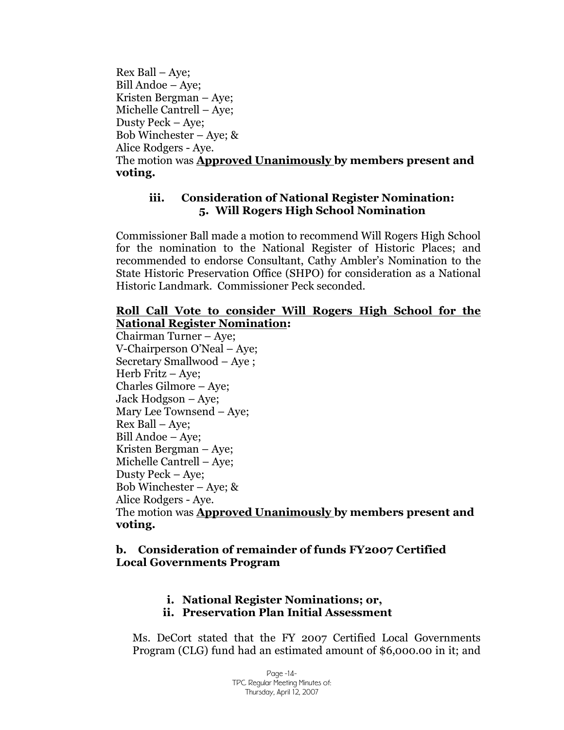Rex Ball – Aye; Bill Andoe – Aye; Kristen Bergman – Aye; Michelle Cantrell – Aye; Dusty Peck – Aye; Bob Winchester – Aye;  $\&$ Alice Rodgers - Aye. The motion was **Approved Unanimously by members present and voting.**

#### **iii. Consideration of National Register Nomination: 5. Will Rogers High School Nomination**

Commissioner Ball made a motion to recommend Will Rogers High School for the nomination to the National Register of Historic Places; and recommended to endorse Consultant, Cathy Ambler's Nomination to the State Historic Preservation Office (SHPO) for consideration as a National Historic Landmark. Commissioner Peck seconded.

## **Roll Call Vote to consider Will Rogers High School for the National Register Nomination:**

Chairman Turner – Aye; V-Chairperson O'Neal – Aye; Secretary Smallwood – Aye ; Herb Fritz – Aye; Charles Gilmore – Aye; Jack Hodgson – Aye; Mary Lee Townsend – Aye; Rex Ball – Aye; Bill Andoe – Aye; Kristen Bergman – Aye; Michelle Cantrell – Aye; Dusty Peck – Aye; Bob Winchester – Aye;  $\&$ Alice Rodgers - Aye. The motion was **Approved Unanimously by members present and voting.**

## **b. Consideration of remainder of funds FY2007 Certified Local Governments Program**

## **i. National Register Nominations; or, ii. Preservation Plan Initial Assessment**

Ms. DeCort stated that the FY 2007 Certified Local Governments Program (CLG) fund had an estimated amount of \$6,000.00 in it; and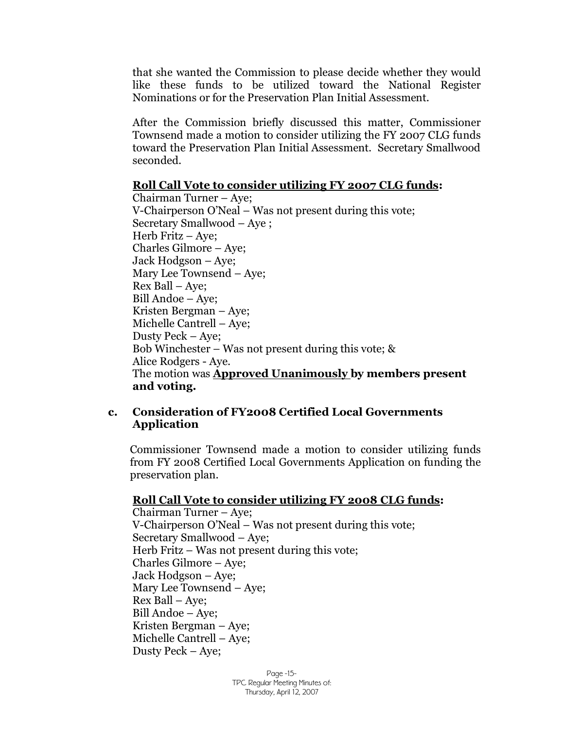that she wanted the Commission to please decide whether they would like these funds to be utilized toward the National Register Nominations or for the Preservation Plan Initial Assessment.

After the Commission briefly discussed this matter, Commissioner Townsend made a motion to consider utilizing the FY 2007 CLG funds toward the Preservation Plan Initial Assessment. Secretary Smallwood seconded.

#### **Roll Call Vote to consider utilizing FY 2007 CLG funds:**

Chairman Turner – Aye; V-Chairperson O'Neal – Was not present during this vote; Secretary Smallwood – Aye ; Herb Fritz – Aye; Charles Gilmore – Aye; Jack Hodgson – Aye; Mary Lee Townsend – Aye; Rex Ball – Aye; Bill Andoe – Aye; Kristen Bergman – Aye; Michelle Cantrell – Aye; Dusty Peck – Aye; Bob Winchester – Was not present during this vote; & Alice Rodgers - Aye. The motion was **Approved Unanimously by members present and voting.**

#### **c. Consideration of FY2008 Certified Local Governments Application**

Commissioner Townsend made a motion to consider utilizing funds from FY 2008 Certified Local Governments Application on funding the preservation plan.

#### **Roll Call Vote to consider utilizing FY 2008 CLG funds:**

Chairman Turner – Aye; V-Chairperson O'Neal – Was not present during this vote; Secretary Smallwood – Aye; Herb Fritz – Was not present during this vote; Charles Gilmore – Aye; Jack Hodgson – Aye; Mary Lee Townsend – Aye; Rex Ball – Aye; Bill Andoe – Aye; Kristen Bergman – Aye; Michelle Cantrell – Aye; Dusty Peck – Aye;

> Page -15- TPC Regular Meeting Minutes of: Thursday, April 12, 2007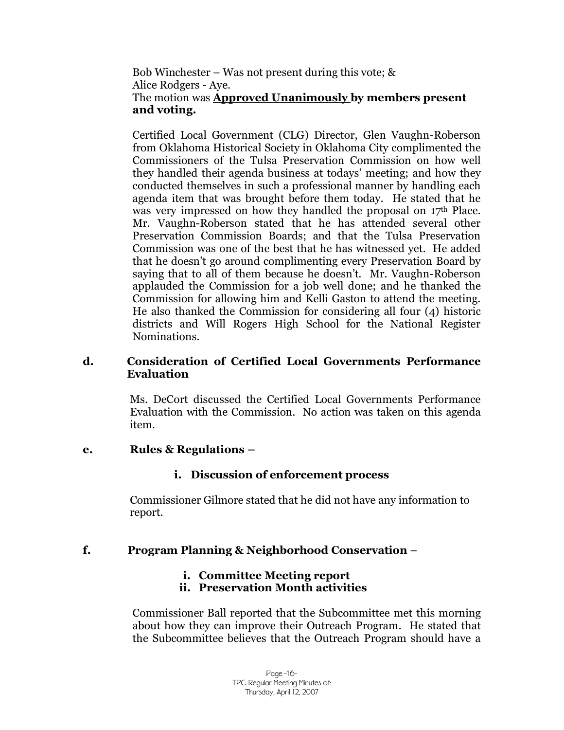Bob Winchester – Was not present during this vote; & Alice Rodgers - Aye. The motion was **Approved Unanimously by members present and voting.**

Certified Local Government (CLG) Director, Glen Vaughn-Roberson from Oklahoma Historical Society in Oklahoma City complimented the Commissioners of the Tulsa Preservation Commission on how well they handled their agenda business at todays' meeting; and how they conducted themselves in such a professional manner by handling each agenda item that was brought before them today. He stated that he was very impressed on how they handled the proposal on  $17<sup>th</sup>$  Place. Mr. Vaughn-Roberson stated that he has attended several other Preservation Commission Boards; and that the Tulsa Preservation Commission was one of the best that he has witnessed yet. He added that he doesn't go around complimenting every Preservation Board by saying that to all of them because he doesn't. Mr. Vaughn-Roberson applauded the Commission for a job well done; and he thanked the Commission for allowing him and Kelli Gaston to attend the meeting. He also thanked the Commission for considering all four (4) historic districts and Will Rogers High School for the National Register Nominations.

#### **d. Consideration of Certified Local Governments Performance Evaluation**

Ms. DeCort discussed the Certified Local Governments Performance Evaluation with the Commission. No action was taken on this agenda item.

## **e. Rules & Regulations –**

## **i. Discussion of enforcement process**

Commissioner Gilmore stated that he did not have any information to report.

## **f. Program Planning & Neighborhood Conservation** –

## **i. Committee Meeting report**

## **ii. Preservation Month activities**

Commissioner Ball reported that the Subcommittee met this morning about how they can improve their Outreach Program. He stated that the Subcommittee believes that the Outreach Program should have a